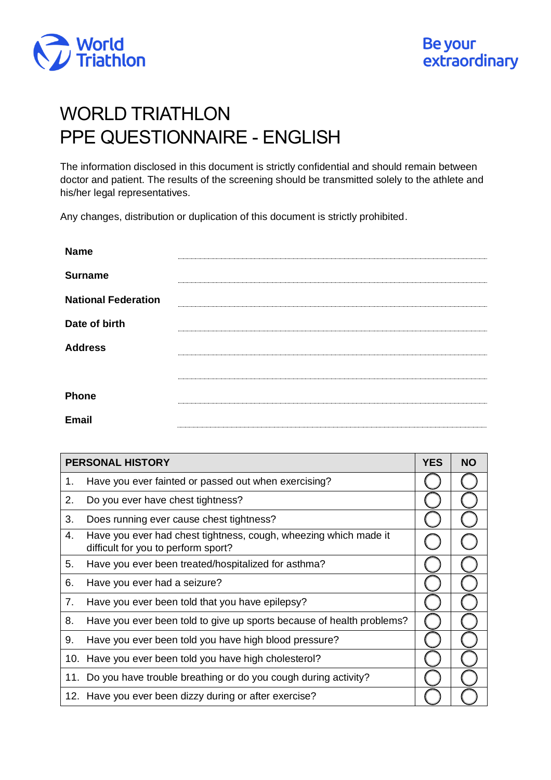

## WORLD TRIATHLON PPE QUESTIONNAIRE - ENGLISH

The information disclosed in this document is strictly confidential and should remain between doctor and patient. The results of the screening should be transmitted solely to the athlete and his/her legal representatives.

Any changes, distribution or duplication of this document is strictly prohibited.

| <b>Name</b>                |  |
|----------------------------|--|
| <b>Surname</b>             |  |
| <b>National Federation</b> |  |
| Date of birth              |  |
| <b>Address</b>             |  |
|                            |  |
| Phone                      |  |
| Email                      |  |

| <b>PERSONAL HISTORY</b> |                                                                                                         |  | <b>NO</b> |
|-------------------------|---------------------------------------------------------------------------------------------------------|--|-----------|
| 1.                      | Have you ever fainted or passed out when exercising?                                                    |  |           |
| 2.                      | Do you ever have chest tightness?                                                                       |  |           |
| 3.                      | Does running ever cause chest tightness?                                                                |  |           |
| 4.                      | Have you ever had chest tightness, cough, wheezing which made it<br>difficult for you to perform sport? |  |           |
| 5.                      | Have you ever been treated/hospitalized for asthma?                                                     |  |           |
| 6.                      | Have you ever had a seizure?                                                                            |  |           |
| 7.                      | Have you ever been told that you have epilepsy?                                                         |  |           |
| 8.                      | Have you ever been told to give up sports because of health problems?                                   |  |           |
| 9.                      | Have you ever been told you have high blood pressure?                                                   |  |           |
| 10.                     | Have you ever been told you have high cholesterol?                                                      |  |           |
| 11.                     | Do you have trouble breathing or do you cough during activity?                                          |  |           |
|                         | 12. Have you ever been dizzy during or after exercise?                                                  |  |           |